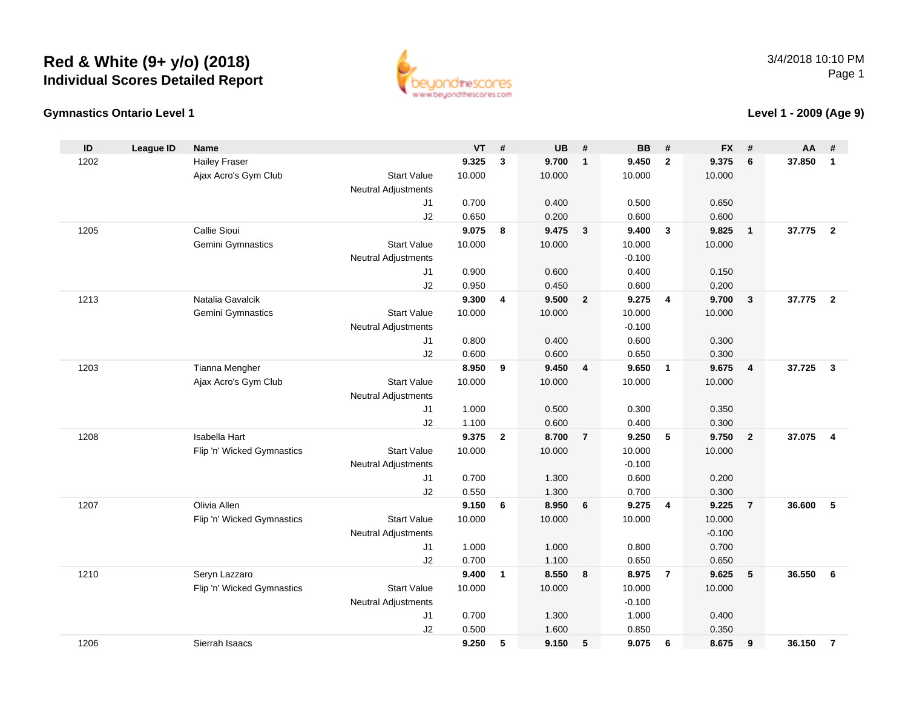## **Red & White (9+ y/o) (2018) Individual Scores Detailed Report**



## **Gymnastics Ontario Level 1**

**Level 1 - 2009 (Age 9)**

| ID   | <b>League ID</b> | <b>Name</b>                |                            | <b>VT</b> | #            | <b>UB</b> | #                       | <b>BB</b> | #              | <b>FX</b> | #                       | AA     | #              |
|------|------------------|----------------------------|----------------------------|-----------|--------------|-----------|-------------------------|-----------|----------------|-----------|-------------------------|--------|----------------|
| 1202 |                  | <b>Hailey Fraser</b>       |                            | 9.325     | 3            | 9.700     | $\overline{\mathbf{1}}$ | 9.450     | $\overline{2}$ | 9.375     | 6                       | 37.850 | $\mathbf{1}$   |
|      |                  | Ajax Acro's Gym Club       | <b>Start Value</b>         | 10.000    |              | 10.000    |                         | 10.000    |                | 10.000    |                         |        |                |
|      |                  |                            | <b>Neutral Adjustments</b> |           |              |           |                         |           |                |           |                         |        |                |
|      |                  |                            | J1                         | 0.700     |              | 0.400     |                         | 0.500     |                | 0.650     |                         |        |                |
|      |                  |                            | J2                         | 0.650     |              | 0.200     |                         | 0.600     |                | 0.600     |                         |        |                |
| 1205 |                  | Callie Sioui               |                            | 9.075     | 8            | 9.475     | $\overline{\mathbf{3}}$ | 9.400     | $\mathbf{3}$   | 9.825     | $\overline{1}$          | 37.775 | $\overline{2}$ |
|      |                  | Gemini Gymnastics          | <b>Start Value</b>         | 10.000    |              | 10.000    |                         | 10.000    |                | 10.000    |                         |        |                |
|      |                  |                            | Neutral Adjustments        |           |              |           |                         | $-0.100$  |                |           |                         |        |                |
|      |                  |                            | J1                         | 0.900     |              | 0.600     |                         | 0.400     |                | 0.150     |                         |        |                |
|      |                  |                            | J2                         | 0.950     |              | 0.450     |                         | 0.600     |                | 0.200     |                         |        |                |
| 1213 |                  | Natalia Gavalcik           |                            | 9.300     | 4            | 9.500     | $\overline{2}$          | 9.275     | $\overline{4}$ | 9.700     | $\overline{\mathbf{3}}$ | 37.775 | $\overline{2}$ |
|      |                  | Gemini Gymnastics          | <b>Start Value</b>         | 10.000    |              | 10.000    |                         | 10.000    |                | 10.000    |                         |        |                |
|      |                  |                            | Neutral Adjustments        |           |              |           |                         | $-0.100$  |                |           |                         |        |                |
|      |                  |                            | J1                         | 0.800     |              | 0.400     |                         | 0.600     |                | 0.300     |                         |        |                |
|      |                  |                            | J2                         | 0.600     |              | 0.600     |                         | 0.650     |                | 0.300     |                         |        |                |
| 1203 |                  | Tianna Mengher             |                            | 8.950     | 9            | 9.450     | $\overline{4}$          | 9.650     | $\overline{1}$ | 9.675     | $\overline{4}$          | 37.725 | $\mathbf{3}$   |
|      |                  | Ajax Acro's Gym Club       | <b>Start Value</b>         | 10.000    |              | 10.000    |                         | 10.000    |                | 10.000    |                         |        |                |
|      |                  |                            | Neutral Adjustments        |           |              |           |                         |           |                |           |                         |        |                |
|      |                  |                            | J1                         | 1.000     |              | 0.500     |                         | 0.300     |                | 0.350     |                         |        |                |
|      |                  |                            | J2                         | 1.100     |              | 0.600     |                         | 0.400     |                | 0.300     |                         |        |                |
| 1208 |                  | Isabella Hart              |                            | 9.375     | $\mathbf{2}$ | 8.700     | $\overline{7}$          | 9.250     | -5             | 9.750     | $\overline{2}$          | 37.075 | $\overline{4}$ |
|      |                  | Flip 'n' Wicked Gymnastics | <b>Start Value</b>         | 10.000    |              | 10.000    |                         | 10.000    |                | 10.000    |                         |        |                |
|      |                  |                            | Neutral Adjustments        |           |              |           |                         | $-0.100$  |                |           |                         |        |                |
|      |                  |                            | J <sub>1</sub>             | 0.700     |              | 1.300     |                         | 0.600     |                | 0.200     |                         |        |                |
|      |                  |                            | J2                         | 0.550     |              | 1.300     |                         | 0.700     |                | 0.300     |                         |        |                |
| 1207 |                  | Olivia Allen               |                            | 9.150     | 6            | 8.950     | 6                       | 9.275     | $\overline{4}$ | 9.225     | $\overline{7}$          | 36.600 | 5              |
|      |                  | Flip 'n' Wicked Gymnastics | <b>Start Value</b>         | 10.000    |              | 10.000    |                         | 10.000    |                | 10.000    |                         |        |                |
|      |                  |                            | <b>Neutral Adjustments</b> |           |              |           |                         |           |                | $-0.100$  |                         |        |                |
|      |                  |                            | J <sub>1</sub>             | 1.000     |              | 1.000     |                         | 0.800     |                | 0.700     |                         |        |                |
|      |                  |                            | J2                         | 0.700     |              | 1.100     |                         | 0.650     |                | 0.650     |                         |        |                |
| 1210 |                  | Seryn Lazzaro              |                            | 9.400     | $\mathbf{1}$ | 8.550     | 8                       | 8.975     | $\overline{7}$ | 9.625     | 5                       | 36.550 | 6              |
|      |                  | Flip 'n' Wicked Gymnastics | <b>Start Value</b>         | 10.000    |              | 10.000    |                         | 10.000    |                | 10.000    |                         |        |                |
|      |                  |                            | <b>Neutral Adjustments</b> |           |              |           |                         | $-0.100$  |                |           |                         |        |                |
|      |                  |                            | J <sub>1</sub>             | 0.700     |              | 1.300     |                         | 1.000     |                | 0.400     |                         |        |                |
|      |                  |                            | J2                         | 0.500     |              | 1.600     |                         | 0.850     |                | 0.350     |                         |        |                |
| 1206 |                  | Sierrah Isaacs             |                            | 9.250     | 5            | 9.150     | 5                       | 9.075     | 6              | 8.675     | 9                       | 36.150 | $\overline{7}$ |